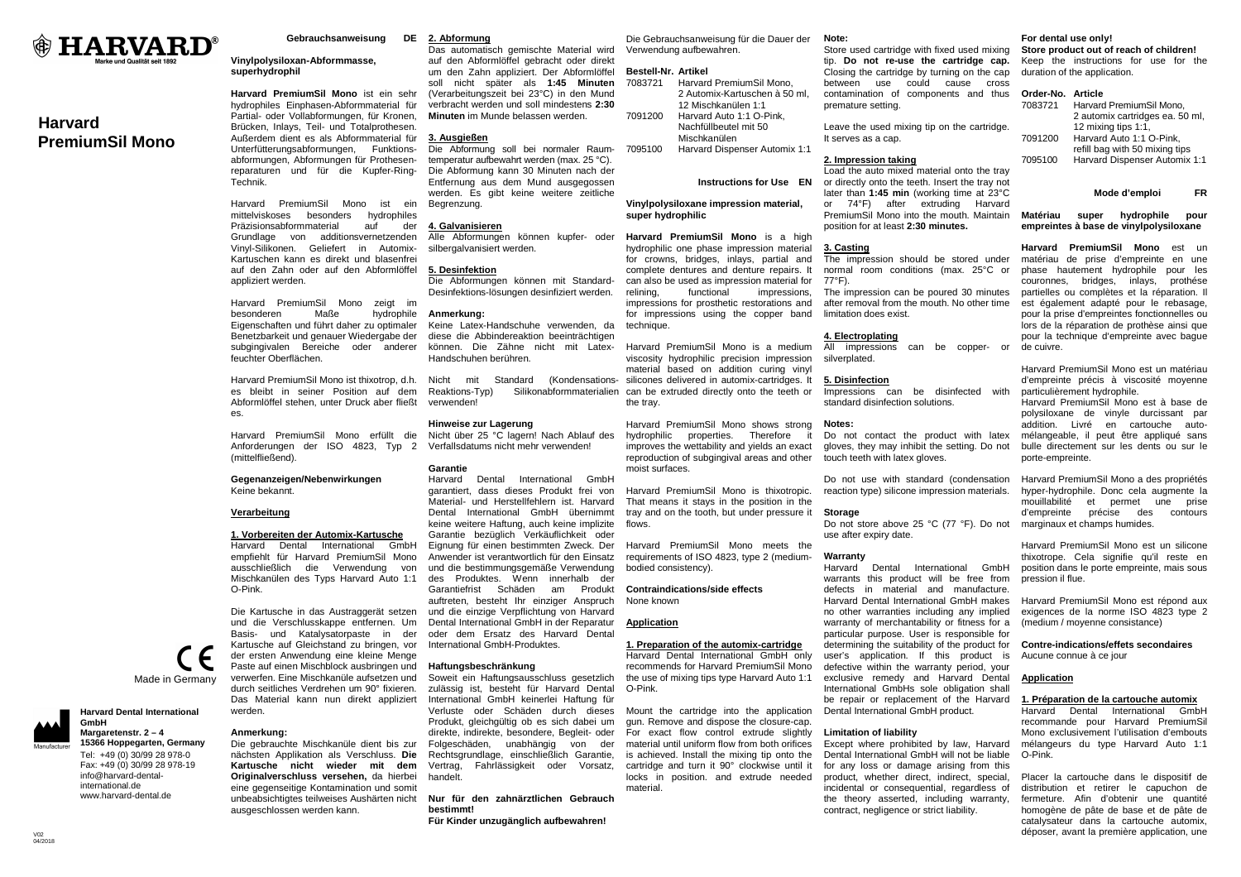

# **Harvard PremiumSil Mono**

**Gebrauchsanweisung** 

# **Vinylpolysiloxan-Abformmasse, superhydrophil**

**Harvard PremiumSil Mono** ist ein sehr hydrophiles Einphasen-Abformmaterial für Partial- oder Vollabformungen, für Kronen, Brücken, Inlays, Teil- und Totalprothesen. Außerdem dient es als Abformmaterial für Unterfütterungsabformungen, Funktionsabformungen, Abformungen für Prothesenreparaturen und für die Kupfer-Ring-Technik.

Harvard PremiumSil Mono ist ein mittelviskoses besonders hydrophiles der Präzisionsabformmaterial auf Grundlage von additionsvernetzenden Vinyl-Silikonen. Geliefert in Automix-Kartuschen kann es direkt und blasenfrei auf den Zahn oder auf den Abformlöffel appliziert werden.

Harvard PremiumSil Mono zeigt im besonderen Maße hydrophile Eigenschaften und führt daher zu optimaler Benetzbarkeit und genauer Wiedergabe der subgingivalen Bereiche oder anderer feuchter Oberflächen.

Harvard PremiumSil Mono ist thixotrop, d.h. Nicht mit Standard (Kondensations- Abformlöffel stehen, unter Druck aber fließt es.

Harvard PremiumSil Mono erfüllt die (mittelfließend).

# **Gegenanzeigen/Nebenwirkungen** Keine bekannt.

# **Verarbeitung**

**1. Vorbereiten der Automix-Kartusche** Harvard Dental International GmbH empfiehlt für Harvard PremiumSil Mono ausschließlich die Verwendung von Mischkanülen des Typs Harvard Auto 1:1 O-Pink.

 und die Verschlusskappe entfernen. Um Basis- und Katalysatorpaste in der Kartusche auf Gleichstand zu bringen, vor der ersten Anwendung eine kleine Menge Paste auf einen Mischblock ausbringen und verwerfen. Eine Mischkanüle aufsetzen und durch seitliches Verdrehen um 90° fixieren. Das Material kann nun direkt appliziert werden.

#### **Anmerkung:**

 nächsten Applikation als Verschluss. **Die Kartusche nicht wieder mit dem Originalverschluss versehen,** da hierbei eine gegenseitige Kontamination und somit unbeabsichtigtes teilweises Aushärten nicht ausgeschlossen werden kann.

# **2. Abformung**

 Das automatisch gemischte Material wird auf den Abformlöffel gebracht oder direkt um den Zahn appliziert. Der Abformlöffel soll nicht später als **1:45 Minuten** (Verarbeitungszeit bei 23°C) in den Mund verbracht werden und soll mindestens **2:30 Minuten** im Munde belassen werden.

# **3. Ausgießen**

 Die Abformung soll bei normaler Raumtemperatur aufbewahrt werden (max. 25 °C). Die Abformung kann 30 Minuten nach der Entfernung aus dem Mund ausgegossen werden. Es gibt keine weitere zeitliche Begrenzung.

## **4. Galvanisieren**

 Alle Abformungen können kupfer- oder silbergalvanisiert werden.

# **5. Desinfektion**

 Die Abformungen können mit Standard-Desinfektions-lösungen desinfiziert werden.

### **Anmerkung:**

 Keine Latex-Handschuhe verwenden, da diese die Abbindereaktion beeinträchtigen können. Die Zähne nicht mit Latex-Handschuhen berühren.

 es bleibt in seiner Position auf dem Reaktions-Typ) Silikonabformmaterialien can be extruded directly onto the teeth or verwenden!

## **Hinweise zur Lagerung**

Anforderungen der ISO 4823, Typ 2 Verfallsdatums nicht mehr verwenden!

Die Kartusche in das Austraggerät setzen und die einzige Verpflichtung von Harvard Harvard Dental International GmbH garantiert, dass dieses Produkt frei von Material- und Herstellfehlern ist. Harvard Dental International GmbH übernimmt keine weitere Haftung, auch keine implizite Garantie bezüglich Verkäuflichkeit oder Eignung für einen bestimmten Zweck. Der Anwender ist verantwortlich für den Einsatz und die bestimmungsgemäße Verwendung des Produktes. Wenn innerhalb de Garantiefrist Schäden am Produkt auftreten, besteht Ihr einziger Anspruch Dental International GmbH in der Reparatur oder dem Ersatz des Harvard Dental

# **Haftungsbeschränkung**

 Soweit ein Haftungsausschluss gesetzlich zulässig ist, besteht für Harvard Dental International GmbH keinerlei Haftung für Verluste oder Schäden durch dieses Produkt, gleichgültig ob es sich dabei um direkte, indirekte, besondere, Begleit- oder Folgeschäden, unabhängig von der Rechtsgrundlage, einschließlich Garantie, Vertrag, Fahrlässigkeit oder Vorsatz, handelt.

**bestimmt!** 

Die Gebrauchsanweisung für die Dauer der Verwendung aufbewahren.

#### **Bestell-Nr. Artikel**

 7083721 Harvard PremiumSil Mono, 2 Automix-Kartuschen à 50 ml, 12 Mischkanülen 1:1 7091200 Harvard Auto 1:1 O-Pink, Nachfüllbeutel mit 50 Mischkanülen 7095100 Harvard Dispenser Automix 1:1

# **Instructions for Use EN**

# **Vinylpolysiloxane impression material, super hydrophilic**

**Harvard PremiumSil Mono** is a high hydrophilic one phase impression material for crowns, bridges, inlays, partial and complete dentures and denture repairs. It can also be used as impression material for relining, functional impressions, impressions for prosthetic restorations and for impressions using the copper band technique.

Harvard PremiumSil Mono is a medium viscosity hydrophilic precision impression material based on addition curing vinyl silicones delivered in automix-cartridges. It the tray.

Harvard PremiumSil Mono shows strong it hydrophilic properties. Therefore improves the wettability and yields an exact gloves, they may inhibit the setting. Do not reproduction of subgingival areas and other moist surfaces.

Harvard PremiumSil Mono is thixotropic. That means it stays in the position in the tray and on the tooth, but under pressure it flows

Harvard PremiumSil Mono meets the requirements of ISO 4823, type 2 (mediumbodied consistency).

### **Contraindications/side effects** None known

# **Application**

# **1. Preparation of the automix-cartridge**

 Harvard Dental International GmbH only recommends for Harvard PremiumSil Mono the use of mixing tips type Harvard Auto 1:1 O-Pink.

Mount the cartridge into the application gun. Remove and dispose the closure-cap. For exact flow control extrude slightly material until uniform flow from both orifices is achieved. Install the mixing tip onto the cartridge and turn it 90° clockwise until it locks in position. and extrude needed material.

# **Note:**

 Store used cartridge with fixed used mixing tip. **Do not re-use the cartridge cap.** Closing the cartridge by turning on the cap between use could cause cross contamination of components and thus premature setting.

Leave the used mixing tip on the cartridge. It serves as a cap.

### **2. Impression taking**

 Load the auto mixed material onto the tray or directly onto the teeth. Insert the tray not later than **1:45 min** (working time at 23°C or 74°F) after extruding Harvard PremiumSil Mono into the mouth. Maintain position for at least **2:30 minutes.**

### **3. Casting**

 The impression should be stored under normal room conditions (max. 25°C or 77°F).

 The impression can be poured 30 minutes after removal from the mouth. No other time limitation does exist.

# **4. Electroplating**

 All impressions can be copper- or silverplated

### **5. Disinfection**

 Impressions can be disinfected with standard disinfection solutions.

# **Notes:**

 Do not contact the product with latex touch teeth with latex gloves.

Do not use with standard (condensation reaction type) silicone impression materials.

# **Storage**

Do not store above 25 °C (77 °F). Do not use after expiry date.

### **Warranty**

 Harvard Dental International GmbH warrants this product will be free from defects in material and manufacture. Harvard Dental International GmbH makes no other warranties including any implied warranty of merchantability or fitness for a particular purpose. User is responsible for determining the suitability of the product for user's application. If this product is defective within the warranty period, your exclusive remedy and Harvard Dental International GmbHs sole obligation shall be repair or replacement of the Harvard Dental International GmbH product.

# **Limitation of liability**

 Except where prohibited by law, Harvard Dental International GmbH will not be liable for any loss or damage arising from this product, whether direct, indirect, special, incidental or consequential, regardless of the theory asserted, including warranty, contract, negligence or strict liability.

## **For dental use only!**

 **Store product out of reach of children!**  Keep the instructions for use for the duration of the application.

#### **Order-No. Article**

| 7083721 | Harvard PremiumSil Mono,        |
|---------|---------------------------------|
|         | 2 automix cartridges ea. 50 ml, |
|         | 12 mixing tips 1:1,             |
| 7091200 | Harvard Auto 1:1 O-Pink,        |
|         | refill bag with 50 mixing tips  |
| 7095100 | Harvard Dispenser Automix 1:1   |

# **Mode d'emploi FR**

**Matériau super hydrophile pour empreintes à base de vinylpolysiloxane** 

**Harvard PremiumSil Mono** est un matériau de prise d'empreinte en une phase hautement hydrophile pour les couronnes, bridges, inlays, prothése partielles ou complètes et la réparation. Il est également adapté pour le rebasage, pour la prise d'empreintes fonctionnelles ou lors de la réparation de prothèse ainsi que pour la technique d'empreinte avec bague de cuivre.

Harvard PremiumSil Mono est un matériau d'empreinte précis à viscosité moyenne particulièrement hydrophile.

 Harvard PremiumSil Mono est à base de polysiloxane de vinyle durcissant par addition. Livré en cartouche automélangeable, il peut être appliqué sans bulle directement sur les dents ou sur le porte-empreinte.

Harvard PremiumSil Mono a des propriétés hyper-hydrophile. Donc cela augmente la mouillabilité et permet une prise d'empreinte précise des contours marginaux et champs humides.

Harvard PremiumSil Mono est un silicone thixotrope. Cela signifie qu'il reste en position dans le porte empreinte, mais sous pression il flue.

Harvard PremiumSil Mono est répond aux exigences de la norme ISO 4823 type 2 (medium / moyenne consistance)

**Contre-indications/effets secondaires** Aucune connue à ce jour

# **Application**

# **1. Préparation de la cartouche automix**

 Harvard Dental International GmbH recommande pour Harvard PremiumSil Mono exclusivement l'utilisation d'embouts mélangeurs du type Harvard Auto 1:1 O-Pink.

Placer la cartouche dans le dispositif de distribution et retirer le capuchon de fermeture. Afin d'obtenir une quantité homogène de pâte de base et de pâte de catalysateur dans la cartouche automix, déposer, avant la première application, une



www.harvard-dental.de

Made in Germany

Die gebrauchte Mischkanüle dient bis zur

# International GmbH-Produktes.

# **Nur für den zahnärztlichen Gebrauch**

**Für Kinder unzugänglich aufbewahren!** 

# Nicht über 25 °C lagern! Nach Ablauf des **Garantie**